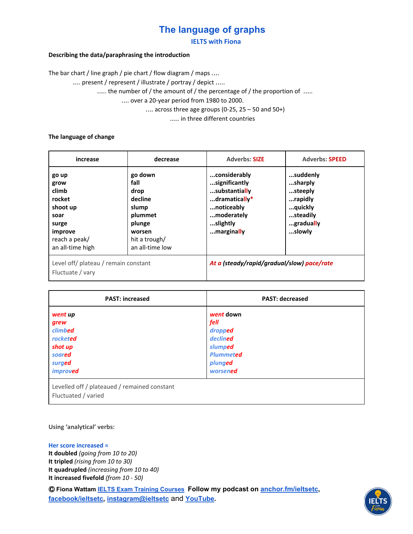**IELTS with Fiona**

#### **Describing the data/paraphrasing the introduction**

The bar chart / line graph / pie chart / flow diagram / maps ….

…. present / represent / illustrate / portray / depict …..

..... the number of / the amount of / the percentage of / the proportion of .....

…. over a 20-year period from 1980 to 2000.

 $\ldots$  across three age groups (0-25, 25 – 50 and 50+)

….. in three different countries

#### **The language of change**

| increase                                                                                                      | decrease                                                                                                       | <b>Adverbs: SIZE</b>                                                                                                  | <b>Adverbs: SPEED</b>                                                                   |
|---------------------------------------------------------------------------------------------------------------|----------------------------------------------------------------------------------------------------------------|-----------------------------------------------------------------------------------------------------------------------|-----------------------------------------------------------------------------------------|
| go up<br>grow<br>climb<br>rocket<br>shoot up<br>soar<br>surge<br>improve<br>reach a peak/<br>an all-time high | go down<br>fall<br>drop<br>decline<br>slump<br>plummet<br>plunge<br>worsen<br>hit a trough/<br>an all-time low | considerably<br>significantly<br>substantially<br>dramatically*<br>noticeably<br>moderately<br>slightly<br>marginally | suddenly<br>sharply<br>steeply<br>rapidly<br>quickly<br>steadily<br>gradually<br>slowly |
| Level off/ plateau / remain constant<br>Fluctuate / vary                                                      |                                                                                                                | At a (steady/rapid/gradual/slow) pace/rate                                                                            |                                                                                         |

| <b>PAST: increased</b>                       | <b>PAST: decreased</b> |
|----------------------------------------------|------------------------|
| went up                                      | went down              |
| grew                                         | fell                   |
| climbed                                      | dropped                |
| rocketed                                     | declined               |
| shot up                                      | slumped                |
| soared                                       | <b>Plummeted</b>       |
| surged                                       | plunged                |
| improved                                     | worsened               |
| Levelled off / plateaued / remained constant |                        |

Fluctuated / varied

**Using 'analytical' verbs:**

#### **Her score increased =**

**It doubled** *(going from 10 to 20)* **It tripled** *(rising from 10 to 30)* **It quadrupled** *(increasing from 10 to 40)* **It increased fivefold** *(from 10 - 50)*

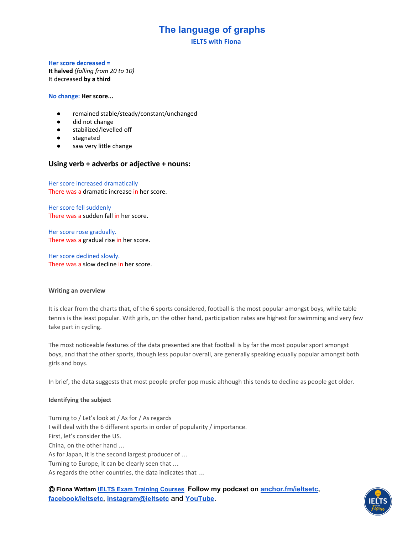**IELTS with Fiona**

#### **Her score decreased =**

**It halved** *(falling from 20 to 10)* It decreased **by a third**

**No change: Her score...**

- remained stable/steady/constant/unchanged
- did not change
- stabilized/levelled off
- stagnated
- saw very little change

### **Using verb + adverbs or adjective + nouns:**

Her score increased dramatically There was a dramatic increase in her score.

Her score fell suddenly There was a sudden fall in her score.

Her score rose gradually. There was a gradual rise in her score.

Her score declined slowly. There was a slow decline in her score.

#### **Writing an overview**

It is clear from the charts that, of the 6 sports considered, football is the most popular amongst boys, while table tennis is the least popular. With girls, on the other hand, participation rates are highest for swimming and very few take part in cycling.

The most noticeable features of the data presented are that football is by far the most popular sport amongst boys, and that the other sports, though less popular overall, are generally speaking equally popular amongst both girls and boys.

In brief, the data suggests that most people prefer pop music although this tends to decline as people get older.

#### **Identifying the subject**

Turning to / Let's look at / As for / As regards I will deal with the 6 different sports in order of popularity / importance. First, let's consider the US. China, on the other hand … As for Japan, it is the second largest producer of … Turning to Europe, it can be clearly seen that … As regards the other countries, the data indicates that …

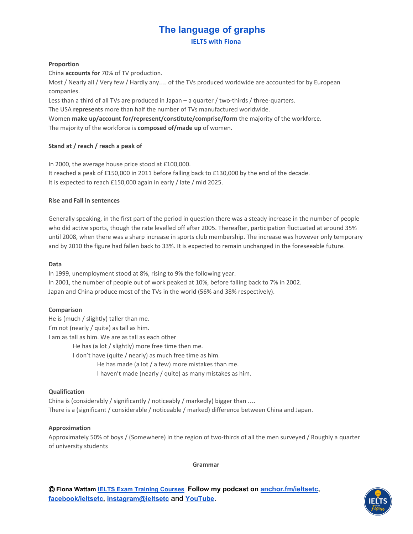**IELTS with Fiona**

#### **Proportion**

China **accounts for** 70% of TV production.

Most / Nearly all / Very few / Hardly any…. of the TVs produced worldwide are accounted for by European companies.

Less than a third of all TVs are produced in Japan – a quarter / two-thirds / three-quarters.

The USA **represents** more than half the number of TVs manufactured worldwide.

Women **make up/account for/represent/constitute/comprise/form** the majority of the workforce. The majority of the workforce is **composed of/made up** of women.

### **Stand at / reach / reach a peak of**

In 2000, the average house price stood at £100,000. It reached a peak of £150,000 in 2011 before falling back to £130,000 by the end of the decade. It is expected to reach £150,000 again in early / late / mid 2025.

#### **Rise and Fall in sentences**

Generally speaking, in the first part of the period in question there was a steady increase in the number of people who did active sports, though the rate levelled off after 2005. Thereafter, participation fluctuated at around 35% until 2008, when there was a sharp increase in sports club membership. The increase was however only temporary and by 2010 the figure had fallen back to 33%. It is expected to remain unchanged in the foreseeable future.

#### **Data**

In 1999, unemployment stood at 8%, rising to 9% the following year. In 2001, the number of people out of work peaked at 10%, before falling back to 7% in 2002. Japan and China produce most of the TVs in the world (56% and 38% respectively).

### **Comparison**

He is (much / slightly) taller than me. I'm not (nearly / quite) as tall as him. I am as tall as him. We are as tall as each other He has (a lot / slightly) more free time then me. I don't have (quite / nearly) as much free time as him. He has made (a lot / a few) more mistakes than me. I haven't made (nearly / quite) as many mistakes as him.

#### **Qualification**

China is (considerably / significantly / noticeably / markedly) bigger than …. There is a (significant / considerable / noticeable / marked) difference between China and Japan.

#### **Approximation**

Approximately 50% of boys / (Somewhere) in the region of two-thirds of all the men surveyed / Roughly a quarter of university students

**Grammar**